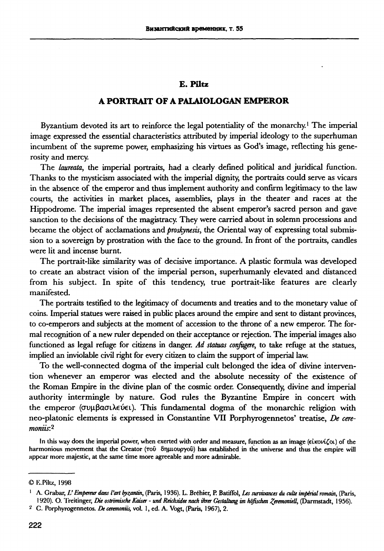## **E.** Piltz

## **A PORTRAIT OF A PALAIOLOGAN EMPEROR**

Byzantium devoted its art to reinforce the legal potentiality of the monarchy.<sup>1</sup> The imperial image expressed the essential characteristics attributed by imperial ideology to the superhuman incumbent of the supreme power, emphasizing his virtues as God's image, reflecting his generosity and mercy.

The *laureata*, the imperial portraits, had a clearly defined political and juridical function. Thanks to the mysticism associated with the imperial dignity, the portraits could serve as vicars in the absence of the emperor and thus implement authority and confirm legitimacy to the law courts, the activities in market places, assemblies, plays in the theater and races at the Hippodrome. The imperial images represented the absent emperor's sacred person and gave sanction to the decisions of the magistracy. They were carried about in solemn processions and became the object of acclamations and *proskynesis*, the Oriental way of expressing total submission to a sovereign by prostration with the face to the ground. In front of the portraits, candles were lit and incense burnt.

The portrait-like similarity was of decisive importance. A plastic formula was developed to create an abstract vision of the imperial person, superhumanly elevated and distanced from his subject. In spite of this tendency, true portrait-like features are clearly manifested.

The portraits testified to the legitimacy of documents and treaties and to the monetary value of coins. Imperial statues were raised in public places around the empire and sent to distant provinces, to co-emperors and subjects at the moment of accession to the throne of a new emperor. The formal recognition of a new ruler depended on their acceptance or rejection. The imperial images also functioned as legal refuge for citizens in danger. *Ad. statuas configgere,* to take refuge at the statues, implied an inviolable civil right for every citizen to claim the support of imperial law.

To the well-connected dogma of the imperial cult belonged the idea of divine intervention whenever an emperor was elected and the absolute necessity of the existence of the Roman Empire in the divine plan of the cosmic order. Consequendy, divine and imperial authority intermingle by nature. God rules the Byzantine Empire in concert with the emperor (συμβασιλεύει). This fundamental dogma of the monarchic religion with neo-platonic elements is expressed in Constantine VII Porphyrogennetos' treatise, *De ceremoniis:<sup>2</sup>*

**In this way does the imperial power, when exerted with order and measure, function as an image (€**LKOV**Í£OL) of the harmonious movement that the Creator** (του δημιουργού) has established in the universe and thus the empire will **appear more majestic, at the same time more agreeable and more admirable.** 

**<sup>©</sup> lvPiltz, 1998** 

A. Grabar, L' Empereur dans l'art byzantin, (Paris, 1936). L. Bréhier, P. Batiffol, Les survivances du culte impérial romain, (Paris, **1920). O. 'Freilinger,** *Die ostrbmische Kaiser - und Reichsidee nach ihrer Gestaltung im höfischen Zeremoniell***, (Darmstadt, 1956).** 

**<sup>,¿</sup> . Porphyrogennetos.** *De ceremoniis,* **vol. 1, ed. A. Vogt, (Paris, 1967), 2.**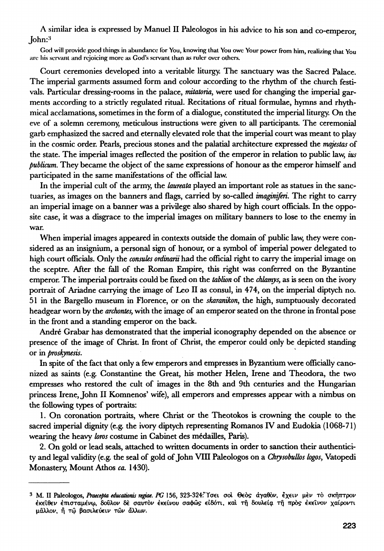A similar idea is expressed by Manuel II Paleologos in his advice to his son and co-emperor, John:<sup>3</sup>

**God will provide good things in abundance for You, knowing that You owe Your power from him, realizing that You are his servant and rejoicing more as God's servant than as ruler over others.** 

Court ceremonies developed into a veritable liturgy. The sanctuary was the Sacred Palace. The imperial garments assumed form and colour according to the rhythm of the church festivals. Particular dressing-rooms in the palace, *natatoria,*, were used for changing the imperial garments according to a strictly regulated ritual. Recitations of ritual formulae, hymns and rhythmical acclamations, sometimes in the form of a dialogue, constituted the imperial liturgy. On the eve of a solemn ceremony, meticulous instructions were given to all participants. The ceremonial garb emphasized the sacred and eternally elevated role that the imperial court was meant to play in the cosmic order. Pearls, precious stones and the palatial architecture expressed the *majestas* of the state. The imperial images reflected the position of the emperor in relation to public law, *ius publicum.* They became the object of the same expressions of honour as the emperor himself and participated in the same manifestations of the official law.

In the imperial cult of the army, the *laureata* played an important role as statues in the sanctuaries, as images on the banners and flags, carried by so-called *imaginiferi.* The right to carry an imperial image on a banner was a privilege also shared by high court officials. In the opposite case, it was a disgrace to the imperial images on military banners to lose to the enemy in war.

When imperial images appeared in contexts outside the domain of public law, they were considered as an insignium, a personal sign of honour, or a symbol of imperial power delegated to high court officials. Only the *cónsules ordinam* had the official right to carry the imperial image on the sceptre. After the fall of the Roman Empire, this right was conferred on the Byzantine emperor. The imperial portraits could be fixed on the *tablion* of the *chlamys,* as is seen on the ivory portrait of Ariadne carrying the image of Leo II as consul, in 474, on the imperial diptych no. 51 in the Bargello museum in Florence, or on the *skaranikon*, the high, sumptuously decorated headgear worn by the *archontes,* with the image of an emperor seated on the throne in frontal pose in the front and a standing emperor on the back.

André Grabar has demonstrated that the imperial iconography depended on the absence or presence of the image of Christ. In front of Christ, the emperor could only be depicted standing or in *proskynesis.* 

In spite of the fact that only a few emperors and empresses in Byzantium were officially canonized as saints (e.g. Constantine the Great, his mother Helen, Irene and Theodora, the two empresses who restored the cult of images in the 8th and 9th centuries and the Hungarian princess Irene, John II Komnenos' wife), all emperors and empresses appear with a nimbus on the following types of portraits:

1. On coronation portraits, where Christ or the Theotokos is crowning the couple to the sacred imperial dignity (e.g. the ivory diptych representing Romanos IV and Ëudokia (1068-71) wearing the heavy *loros* costume in Cabinet des médailles, Paris).

2. On gold or lead seals, attached to written documents in order to sanction their authenticity and legal validity (e.g. the seal of gold of John VIII Paleologos on a *Chiysobullos logos*, Vatopedi Monastery, Mount Athos *ca.* 1430).

**<sup>3</sup> M. II Paleologos,** *Praecepta educations regia\*. PG* **156, 323-324"ϊσ€ ad Geòs αγαθόν, €χ€ΐ μέ τ σκητττρον**  έκε**ίθεν έπισταμένω, δούλον δε σαυτ**όν έκείνου σαφώς είδότι, και τη δουλεία τη προς έκεινον χαίροντι μάλλον, ή τώ βασιλεύειν τών άλλων.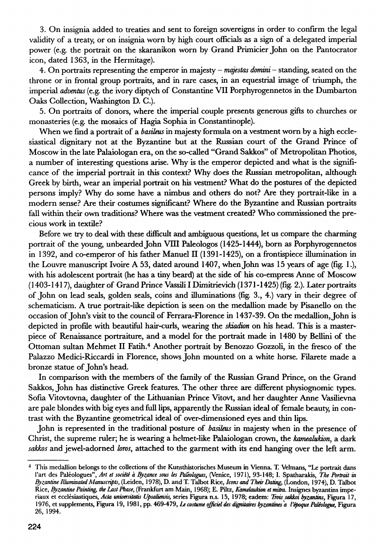3. On insignia added to treaties and sent to foreign sovereigns in order to confirm the legal validity of a treaty, or on insignia worn by high court officials as a sign of a delegated imperial power (e.g. the portrait on the skaranikon worn by Grand Primicier John on the Pantocrator icon, dated 1363, in the Hermitage).

4. On portraits representing the emperor in majesty - *majestas domini -* standing, seated on the throne or in frontal group portraits, and in rare cases, in an equestrial image of triumph, the imperial *adventos* (e.g. the ivory diptych of Constantine VII Porphyrogennetos in the Dumbarton Oaks Collection, Washington D. C.).

5. On portraits of donors, where the imperial couple presents generous gifts to churches or monasteries (e.g. the mosaics of Hagia Sophia in Constantinople).

When we find a portrait of a *basileus* in majesty formula on a vestment worn by a high ecclesiastical dignitary not at the Byzantine but at the Russian court of the Grand Prince of Moscow in the late Palaiologan era, on the so-called "Grand Sakkos" of Metropolitan Photios, a number of interesting questions arise. Why is the emperor depicted and what is the significance of the imperial portrait in this context? Why does the Russian metropolitan, although Greek by birth, wear an imperial portrait on his vestment? What do the postures of the depicted persons imply? Why do some have a nimbus and others do not? Are they portrait-like in a modern sense? Are their costumes significant? Where do the Byzantine and Russian portraits fall within their own traditions? Where was the vestment created? Who commissioned the precious work in textile?

Before we try to deal with these difficult and ambiguous questions, let us compare the charming portrait of the young, unbearded John VIII Paleologos (1425-1444), born as Porphyrogennetos in 1392, and co-emperor of his father Manuel II (1391-1425), on a frontispiece illumination in the Louvre manuscript Ivoire A 53, dated around 1407, when John was 15 years of age (fig. 1.), with his adolescent portrait (he has a tiny beard) at the side of his co-empress Anne of Moscow (1403-1417), daughter of Grand Prince Vassiii I Dimitrievich (1371-1425) (fig. 2.). Later portraits of John on lead seals, golden seals, coins and illuminations (fig. 3., 4.) vary in their degree of schematicism. A true portrait-like depiction is seen on the medallion made by Pisanello on the occasion of John's visit to the council of Ferrara-Florence in 1437-39. On the medallion, John is depicted in profile with beautiful hair-curls, wearing the *skiadion* on his head. This is a masterpiece of Renaissance portraiture, and a model for the portrait made in 1480 by Bellini of the Ottoman sultan Mehmet II Fatih.<sup>4</sup> Another portrait by Benozzo Gozzoli, in the fresco of the Palazzo Medici-Riccardi in Florence, shows John mounted on a white horse. Filarete made a bronze statue of John's head.

In comparison with the members of the family of the Russian Grand Prince, on the Grand Sakkos, John has distinctive Greek features. The other three are different physiognomic types. Sofia Vitovtovna, daughter of the Lithuanian Prince Vitovt, and her daughter Anne Vasilievna are pale blondes with big eyes and full lips, apparently the Russian ideal of female beauty, in contrast with the Byzantine geometrical ideal of over-dimensioned eyes and thin lips.

John is represented in the traditional posture of *badleus* in majesty when in the presence of Christ, the supreme ruler; he is wearing a helmet-like Palaiologan crown, the *kamealukbn*, a dark *sakkos* and jewel-adorned *loros,* attached to the garment with its end hanging over the left arm.

**<sup>4</sup> This medallion belongs to the collections of the Kunsthistorisches Museum in Vienna. T. Velmans, "Le portrait dans l'art des Paléologues",** *Art et société à Byzance sous les Paleologues,* **(Venice, 1971), 93-148; I. Spatharakis,** *The Portrait in Byzantine Illuminated Manuscripts,* **(Leiden, 1978), D. and T. Talbot Rice,** *Icons and Their Dating,* **(London, 1974), D. Talbot Rice,** *Byzantine Painting;, the Last Phase,* **(Frankfurt am Main, 1968); E. Piltz,** *Kamelaukim et mitra.* **Insignes byzantins impériaux et ecclésiastiques,** *Acta unwersitahs Upsaliensis***, series Figura n.s. 15, 1978; eadem:** *Trois sakkoi byzantins***, Figura 17, 1976, et supplements, Figura 19, 1981, pp. 469-479,** *Le costume officiel des dignitaires byzantines a l'époque Paléobgue,* **Figura 26, 1994.**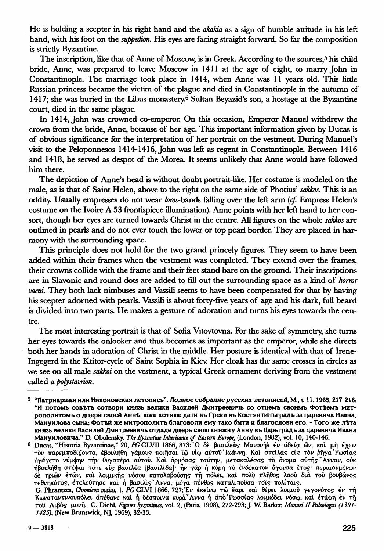He is holding a scepter in his right hand and the *akakia* as a sign of humble attitude in his left hand, with his foot on the *suppedion.* His eyes are facing straight forward. So far the composition is stricdy Byzantine.

The inscription, like that of Anne of Moscow, is in Greek. According to the sources,<sup>5</sup> his child bride, Anne, was prepared to leave Moscow in 1411 at the age of eight, to marry John in Constantinople. The marriage took place in 1414, when Anne was 11 years old. This little Russian princess became the victim of the plague and died in Constantinople in the autumn of 1417; she was buried in the Libus monastery.<sup>6</sup> Sultan Beyazid's son, a hostage at the Byzantine court, died in the same plague.

In 1414, John was crowned co-emperor. On this occasion, Emperor Manuel withdrew the crown from the bride, Anne, because of her age. This important information given by Ducas is of obvious significance for the interpretation of her portrait on the vestment. During Manuel's visit to the Peloponnesos  $1414-1416$ , John was left as regent in Constantinople. Between  $1416$ and 1418, he served as despot of the Morea. It seems unlikely that Anne would have followed him there.

The depiction of Anne's head is without doubt portrait-like. Her costume is modeled on the male, as is that of Saint Helen, above to the right on the same side of Photius' *sakkos.* This is an oddity. Usually empresses do not wear /brar-bands falling over the left arm *(cf.* Empress Helen's costume on the Ivoire A 53 frontispiece illumination). Anne points with her left hand to her consort, though her eyes are turned towards Christ in the centre. All figures on the whole *sakkos* are outlined in pearls and do not ever touch the lower or top pearl border. They are placed in harmony with the surrounding space.

This principle does not hold for the two grand princely figures. They seem to have been added within their frames when the vestment was completed. They extend over the frames, their crowns collide with the frame and their feet stand bare on the ground. Their inscriptions are in Slavonic and round dots are added to fill out the surrounding space as a kind of *horror vacui.* They both lack nimbuses and Vassili seems to have been compensated for that by having his scepter adorned with pearls. Vassili is about forty-five years of age and his dark, full beard is divided into two parts. He makes a gesture of adoration and turns his eyes towards the centre.

The most interesting portrait is that of Sofia Vitovtovna. For the sake of symmetry, she turns her eyes towards the onlooker and thus becomes as important as the emperor, while she directs both her hands in adoration of Christ in the middle. Her posture is identical with that of Irene-Ingegerd in the Ktitor-cycle of Saint Sophia in Kiev. Her cloak has the same crosses in circles as we see on all male *sakkoi* on the vestment, a typical Greek ornament deriving from the vestment called a *polystaurion.* 

**<sup>6</sup> Ducas, "Historia Byzantinae," 20, PG CLVII 1866, 873: Ο δε βασιλεύς Μανουήλ έν άδεία ὢν, και μὴ ἔχων** τον παρεμποδίζοντα, έβουλήθη γάμους ποιήσαι τῷ υίω αὐτοῦ 'Ιωάννη. Και στείλας είς τον ρήγα Ρωσίας ήγάγετο νύμφην την θυγατέρα αύτου. Και άρμόσας ταύτην, μετακαλέσας το όνομα αύτης Ανναν, ούκ ήβουλήθη στέψαι τότε είς βασιλέα [βασιλίδα]· ήν γὰρ ή κόρη τὸ ἐνδέκατον ἄγουσα ἔτος· περαιουμένων **be** τριών έτών, και λοιμικής νόσου καταλαβούσης τη πόλει, και πολυ πλήθος λαού δια του βουβώνος τεθνηκότος, έτελεύτησε και ή βασιλις "Αννα, μέγα πένθος καταλιπούσα τοις πολίταις.

<sup>5 &</sup>quot;Патриаршая или Никоновская летопись". *Полное собрание русских летописей*, М., t. 11, 1965, 217-218: "И потомь совъть сотвори князь велики Василей Дмитреевичь со отцемъ своимъ Фотъемъ митрополитомъ о дщери своей Аннѣ, юже хотяще дати въ Греки въ Костянтинъградъ за царевича Ивана, Мануилова сына; ФотѢй же митрополить благоволи ему тако быти и благослови его. - Того же лѣта князь велики Василей Дмитреевичь отдаде дщерь свою княжну Анну въ Царьградъ за царевича Ивана **Мануиловича." D. Obolensky,** *The Byzantine Inheritance of Eastern Europe,* **(London, 1982), vol. 10, 140-146.** 

**G. Phrantzes,** *Chromem mams,* **1,** *PG* **CLVI 1866, 727:Έ έκβίν τ capi κα θέρ€ λοιμο γ€γονότο έ τή**  Κωνσταντινουπόλει απέθανε και η δέσποινα κυρα Άννα η απο Ρωσσίας λοιμώδει νόσω, και ετάφη εν τη **το Λιβό μονή. G. Diehl,** *Figures byzantines,* **vol. 2, (Paris, 1908), 272-293; J. W. Barker,** *Manuel II Paleologus (1391- 1425),* **(New Brunswick, NJ, 1969), 32-33.**